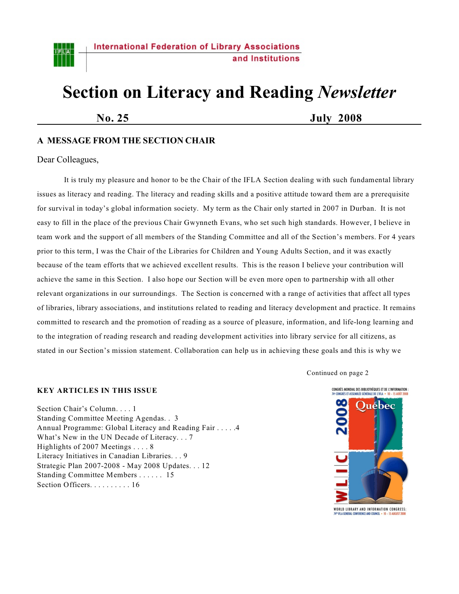

# **Section on Literacy and Reading** *Newsletter*

**No. 25 July 2008**

# **A MESSAGE FROM THE SECTION CHAIR**

# Dear Colleagues,

It is truly my pleasure and honor to be the Chair of the IFLA Section dealing with such fundamental library issues as literacy and reading. The literacy and reading skills and a positive attitude toward them are a prerequisite for survival in today's global information society. My term as the Chair only started in 2007 in Durban. It is not easy to fill in the place of the previous Chair Gwynneth Evans, who set such high standards. However, I believe in team work and the support of all members of the Standing Committee and all of the Section's members. For 4 years prior to this term, I was the Chair of the Libraries for Children and Young Adults Section, and it was exactly because of the team efforts that we achieved excellent results. This is the reason I believe your contribution will achieve the same in this Section. I also hope our Section will be even more open to partnership with all other relevant organizations in our surroundings. The Section is concerned with a range of activities that affect all types of libraries, library associations, and institutions related to reading and literacy development and practice. It remains committed to research and the promotion of reading as a source of pleasure, information, and life-long learning and to the integration of reading research and reading development activities into library service for all citizens, as stated in our Section's mission statement. Collaboration can help us in achieving these goals and this is why we

Continued on page 2

#### **KEY ARTICLES IN THIS ISSUE**

Section Chair's Column. . . . 1 Standing Committee Meeting Agendas. . 3 Annual Programme: Global Literacy and Reading Fair . . . . .4 What's New in the UN Decade of Literacy. . . 7 Highlights of 2007 Meetings . . . . 8 Literacy Initiatives in Canadian Libraries. . . 9 Strategic Plan 2007-2008 - May 2008 Updates. . . 12 Standing Committee Members . . . . . . 15 Section Officers. . . . . . . . . . 16



WORLD LIBRARY AND INFORMATION CONGRESS: I<sup>m</sup> IFLA GENERAL CONFERENCE AND COUNCI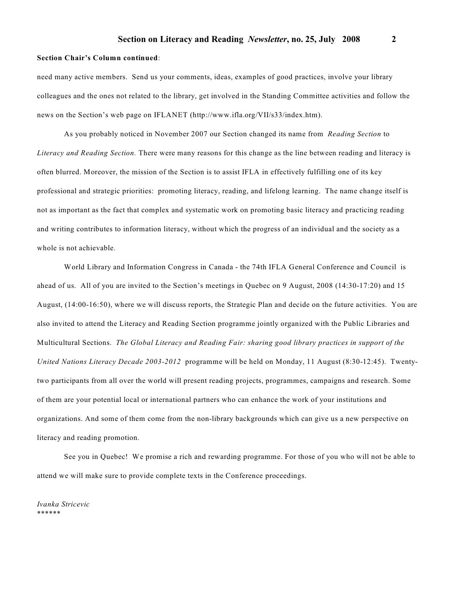#### **Section Chair's Column continued**:

need many active members. Send us your comments, ideas, examples of good practices, involve your library colleagues and the ones not related to the library, get involved in the Standing Committee activities and follow the news on the Section's web page on IFLANET (http://www.ifla.org/VII/s33/index.htm).

As you probably noticed in November 2007 our Section changed its name from *Reading Section* to *Literacy and Reading Section.* There were many reasons for this change as the line between reading and literacy is often blurred. Moreover, the mission of the Section is to assist IFLA in effectively fulfilling one of its key professional and strategic priorities: promoting literacy, reading, and lifelong learning. The name change itself is not as important as the fact that complex and systematic work on promoting basic literacy and practicing reading and writing contributes to information literacy, without which the progress of an individual and the society as a whole is not achievable.

World Library and Information Congress in Canada - the 74th IFLA General Conference and Council is ahead of us. All of you are invited to the Section's meetings in Quebec on 9 August, 2008 (14:30-17:20) and 15 August, (14:00-16:50), where we will discuss reports, the Strategic Plan and decide on the future activities. You are also invited to attend the Literacy and Reading Section programme jointly organized with the Public Libraries and Multicultural Sections. *The Global Literacy and Reading Fair: sharing good library practices in support of the United Nations Literacy Decade 2003-2012* programme will be held on Monday, 11 August (8:30-12:45). Twentytwo participants from all over the world will present reading projects, programmes, campaigns and research. Some of them are your potential local or international partners who can enhance the work of your institutions and organizations. And some of them come from the non-library backgrounds which can give us a new perspective on literacy and reading promotion.

See you in Quebec! We promise a rich and rewarding programme. For those of you who will not be able to attend we will make sure to provide complete texts in the Conference proceedings.

*Ivanka Stricevic* \*\*\*\*\*\*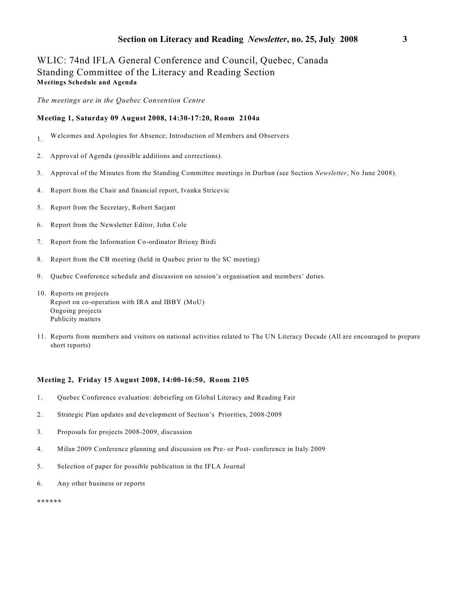# WLIC: 74nd IFLA General Conference and Council, Quebec, Canada Standing Committee of the Literacy and Reading Section **Meetings Schedule and Agenda**

*The meetings are in the Quebec Convention Centre*

#### **Meeting 1, Saturday 09 August 2008, 14:30-17:20, Room 2104a**

- 1. Welcomes and Apologies for Absence; Introduction of Members and Observers
- 2. Approval of Agenda (possible additions and corrections).
- 3. Approval of the Minutes from the Standing Committee meetings in Durban (see Section *Newsletter*, No June 2008).
- 4. Report from the Chair and financial report, Ivanka Stricevic
- 5. Report from the Secretary, Robert Sarjant
- 6. Report from the Newsletter Editor, John Cole
- 7. Report from the Information Co-ordinator Briony Birdi
- 8. Report from the CB meeting (held in Quebec prior to the SC meeting)
- 9. Quebec Conference schedule and discussion on session's organisation and members' duties.
- 10. Reports on projects Report on co-operation with IRA and IBBY (MoU) Ongoing projects Publicity matters
- 11. Reports from members and visitors on national activities related to The UN Literacy Decade (All are encouraged to prepare short reports)

# **Meeting 2, Friday 15 August 2008, 14:00-16:50, Room 2105**

- 1. Quebec Conference evaluation: debriefing on Global Literacy and Reading Fair
- 2. Strategic Plan updates and development of Section's Priorities, 2008-2009
- 3. Proposals for projects 2008-2009, discussion
- 4. Milan 2009 Conference planning and discussion on Pre- or Post- conference in Italy 2009
- 5. Selection of paper for possible publication in the IFLA Journal
- 6. Any other business or reports

**\*\*\*\*\*\***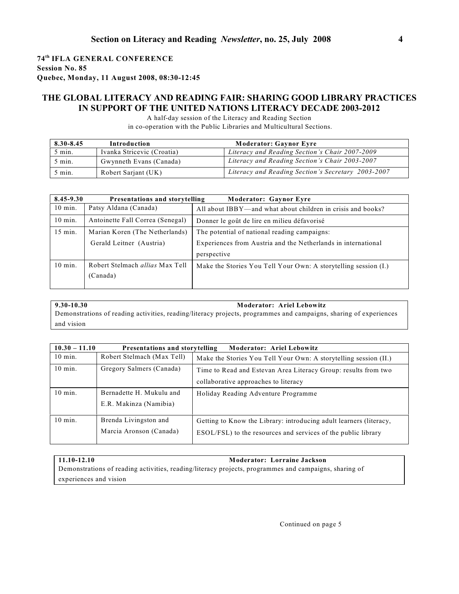# **74 IFLA GENERAL CONFERENCE th Session No. 85 Quebec, Monday, 11 August 2008, 08:30-12:45**

# **THE GLOBAL LITERACY AND READING FAIR: SHARING GOOD LIBRARY PRACTICES IN SUPPORT OF THE UNITED NATIONS LITERACY DECADE 2003-2012**

A half-day session of the Literacy and Reading Section in co-operation with the Public Libraries and Multicultural Sections.

| 8.30-8.45        | Introduction               | <b>Moderator: Gaynor Evre</b>                      |  |
|------------------|----------------------------|----------------------------------------------------|--|
| $5$ min.         | Ivanka Stricevic (Croatia) | Literacy and Reading Section's Chair 2007-2009     |  |
| $5 \text{ min.}$ | Gwynneth Evans (Canada)    | Literacy and Reading Section's Chair 2003-2007     |  |
| $5 \text{ min.}$ | Robert Sarjant (UK)        | Literacy and Reading Section's Secretary 2003-2007 |  |

| 8.45-9.30 | Presentations and storytelling         | <b>Moderator: Gaynor Eyre</b>                                      |  |
|-----------|----------------------------------------|--------------------------------------------------------------------|--|
| $10$ min. | Patsy Aldana (Canada)                  | All about IBBY—and what about children in crisis and books?        |  |
| $10$ min. | Antoinette Fall Correa (Senegal)       | Donner le goût de lire en milieu défavorisé                        |  |
| $15$ min. | Marian Koren (The Netherlands)         | The potential of national reading campaigns:                       |  |
|           | Gerald Leitner (Austria)               | Experiences from Austria and the Netherlands in international      |  |
|           |                                        | perspective                                                        |  |
| $10$ min. | Robert Stelmach <i>allias</i> Max Tell | Make the Stories You Tell Your Own: A storytelling session $(I)$ . |  |
|           | (Canada)                               |                                                                    |  |
|           |                                        |                                                                    |  |

**9.30-10.30 Moderator: Ariel Lebowitz** Demonstrations of reading activities, reading/literacy projects, programmes and campaigns, sharing of experiences and vision

| $10.30 - 11.10$<br>Presentations and storytelling<br><b>Moderator: Ariel Lebowitz</b> |                                                                    |  |
|---------------------------------------------------------------------------------------|--------------------------------------------------------------------|--|
| Robert Stelmach (Max Tell)                                                            | Make the Stories You Tell Your Own: A storytelling session (II.)   |  |
| Gregory Salmers (Canada)                                                              | Time to Read and Estevan Area Literacy Group: results from two     |  |
|                                                                                       | collaborative approaches to literacy                               |  |
| Bernadette H. Mukulu and                                                              | Holiday Reading Adventure Programme                                |  |
| E.R. Makinza (Namibia)                                                                |                                                                    |  |
| Brenda Livingston and                                                                 | Getting to Know the Library: introducing adult learners (literacy, |  |
| Marcia Aronson (Canada)                                                               | ESOL/FSL) to the resources and services of the public library      |  |
|                                                                                       |                                                                    |  |

# **11.10-12.10 Moderator: Lorraine Jackson**

Demonstrations of reading activities, reading/literacy projects, programmes and campaigns, sharing of experiences and vision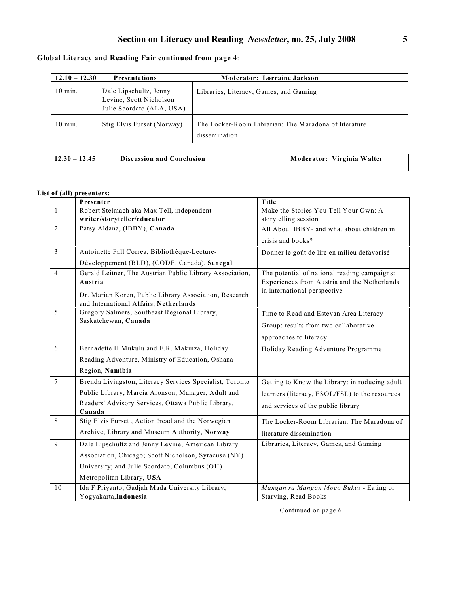# **Global Literacy and Reading Fair continued from page 4**:

| $12.10 - 12.30$ | <b>Presentations</b>                                                           | <b>Moderator: Lorraine Jackson</b>                                     |
|-----------------|--------------------------------------------------------------------------------|------------------------------------------------------------------------|
| $10$ min.       | Dale Lipschultz, Jenny<br>Levine, Scott Nicholson<br>Julie Scordato (ALA, USA) | Libraries, Literacy, Games, and Gaming                                 |
| $10$ min.       | Stig Elvis Furset (Norway)                                                     | The Locker-Room Librarian: The Maradona of literature<br>dissemination |

| Moderator: Virginia Walter<br>$12.30 - 12.45$<br>Discussion and Conclusion |  |
|----------------------------------------------------------------------------|--|
|----------------------------------------------------------------------------|--|

# **List of (all) presenters:**

|                | Presenter                                                | Title                                          |
|----------------|----------------------------------------------------------|------------------------------------------------|
| $\overline{1}$ | Robert Stelmach aka Max Tell, independent                | Make the Stories You Tell Your Own: A          |
|                | writer/storyteller/educator                              | storytelling session                           |
| $\overline{2}$ | Patsy Aldana, (IBBY), Canada                             | All About IBBY- and what about children in     |
|                |                                                          | crisis and books?                              |
| 3              | Antoinette Fall Correa, Bibliothèque-Lecture-            | Donner le goût de lire en milieu défavorisé    |
|                | Développement (BLD), (CODE, Canada), Senegal             |                                                |
| $\overline{4}$ | Gerald Leitner, The Austrian Public Library Association, | The potential of national reading campaigns:   |
|                | Austria                                                  | Experiences from Austria and the Netherlands   |
|                | Dr. Marian Koren, Public Library Association, Research   | in international perspective                   |
|                | and International Affairs, Netherlands                   |                                                |
| 5              | Gregory Salmers, Southeast Regional Library,             | Time to Read and Estevan Area Literacy         |
|                | Saskatchewan, Canada                                     | Group: results from two collaborative          |
|                |                                                          | approaches to literacy                         |
| 6              | Bernadette H Mukulu and E.R. Makinza, Holiday            | Holiday Reading Adventure Programme            |
|                | Reading Adventure, Ministry of Education, Oshana         |                                                |
|                | Region, Namibia.                                         |                                                |
| $\tau$         | Brenda Livingston, Literacy Services Specialist, Toronto | Getting to Know the Library: introducing adult |
|                | Public Library, Marcia Aronson, Manager, Adult and       | learners (literacy, ESOL/FSL) to the resources |
|                | Readers' Advisory Services, Ottawa Public Library,       | and services of the public library             |
|                | Canada                                                   |                                                |
| 8              | Stig Elvis Furset, Action !read and the Norwegian        | The Locker-Room Librarian: The Maradona of     |
|                | Archive, Library and Museum Authority, Norway            | literature dissemination                       |
| 9              | Dale Lipschultz and Jenny Levine, American Library       | Libraries, Literacy, Games, and Gaming         |
|                | Association, Chicago; Scott Nicholson, Syracuse (NY)     |                                                |
|                | University; and Julie Scordato, Columbus (OH)            |                                                |
|                | Metropolitan Library, USA                                |                                                |
| 10             | Ida F Priyanto, Gadjah Mada University Library,          | Mangan ra Mangan Moco Buku! - Eating or        |
|                | Yogyakarta, Indonesia                                    | Starving, Read Books                           |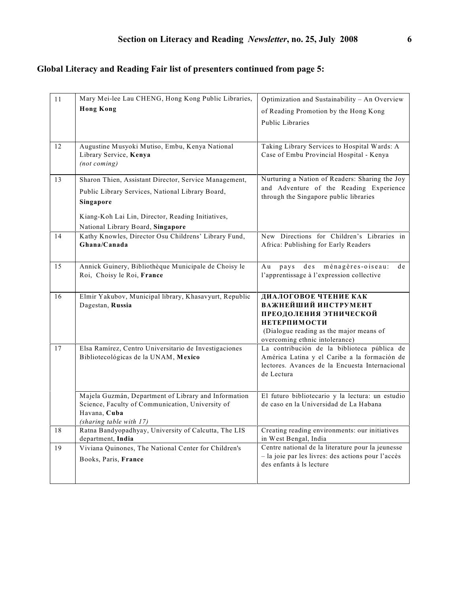# **Global Literacy and Reading Fair list of presenters continued from page 5:**

| 11 | Mary Mei-lee Lau CHENG, Hong Kong Public Libraries,                                | Optimization and Sustainability - An Overview                                                |
|----|------------------------------------------------------------------------------------|----------------------------------------------------------------------------------------------|
|    | <b>Hong Kong</b>                                                                   | of Reading Promotion by the Hong Kong                                                        |
|    |                                                                                    | Public Libraries                                                                             |
|    |                                                                                    |                                                                                              |
| 12 | Augustine Musyoki Mutiso, Embu, Kenya National                                     | Taking Library Services to Hospital Wards: A                                                 |
|    | Library Service, Kenya<br>(not coming)                                             | Case of Embu Provincial Hospital - Kenya                                                     |
|    |                                                                                    |                                                                                              |
| 13 | Sharon Thien, Assistant Director, Service Management,                              | Nurturing a Nation of Readers: Sharing the Joy                                               |
|    | Public Library Services, National Library Board,                                   | and Adventure of the Reading Experience<br>through the Singapore public libraries            |
|    | Singapore                                                                          |                                                                                              |
|    | Kiang-Koh Lai Lin, Director, Reading Initiatives,                                  |                                                                                              |
|    | National Library Board, Singapore                                                  |                                                                                              |
| 14 | Kathy Knowles, Director Osu Childrens' Library Fund,                               | New Directions for Children's Libraries in                                                   |
|    | Ghana/Canada                                                                       | Africa: Publishing for Early Readers                                                         |
|    |                                                                                    |                                                                                              |
| 15 | Annick Guinery, Bibliothèque Municipale de Choisy le<br>Roi, Choisy le Roi, France | d e s<br>ménagères-oiseau:<br>Au<br>pays<br>d e<br>l'apprentissage à l'expression collective |
|    |                                                                                    |                                                                                              |
| 16 | Elmir Yakubov, Municipal library, Khasavyurt, Republic                             | ДИАЛОГОВОЕ ЧТЕНИЕ КАК                                                                        |
|    |                                                                                    |                                                                                              |
|    | Dagestan, Russia                                                                   | ВАЖНЕЙШИЙ ИНСТРУМЕНТ                                                                         |
|    |                                                                                    | ПРЕОДОЛЕНИЯ ЭТНИЧЕСКОЙ                                                                       |
|    |                                                                                    | <b>НЕТЕРПИМОСТИ</b>                                                                          |
|    |                                                                                    | (Dialogue reading as the major means of<br>overcoming ethnic intolerance)                    |
| 17 | Elsa Ramírez, Centro Universitario de Investigaciones                              | La contribución de la biblioteca pública de                                                  |
|    | Bibliotecológicas de la UNAM, Mexico                                               | América Latina y el Caribe a la formación de                                                 |
|    |                                                                                    | lectores. Avances de la Encuesta Internacional<br>de Lectura                                 |
|    |                                                                                    |                                                                                              |
|    | Majela Guzmán, Department of Library and Information                               | El futuro bibliotecario y la lectura: un estudio                                             |
|    | Science, Faculty of Communication, University of                                   | de caso en la Universidad de La Habana                                                       |
|    | Havana, Cuba                                                                       |                                                                                              |
| 18 | (sharing table with 17)<br>Ratna Bandyopadhyay, University of Calcutta, The LIS    | Creating reading environments: our initiatives                                               |
|    | department, India                                                                  | in West Bengal, India                                                                        |
| 19 | Viviana Quinones, The National Center for Children's                               | Centre national de la literature pour la jeunesse                                            |
|    | Books, Paris, France                                                               | - la joie par les livres: des actions pour l'accès<br>des enfants à ls lecture               |
|    |                                                                                    |                                                                                              |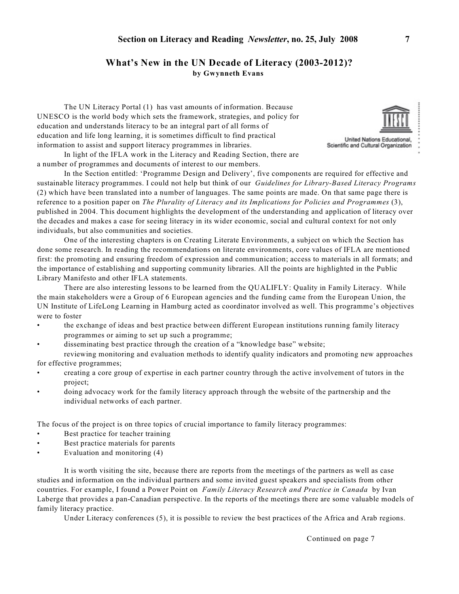# **What's New in the UN Decade of Literacy (2003-2012)? by Gwynneth Evans**

The UN Literacy Portal (1) has vast amounts of information. Because UNESCO is the world body which sets the framework, strategies, and policy for education and understands literacy to be an integral part of all forms of education and life long learning, it is sometimes difficult to find practical information to assist and support literacy programmes in libraries.



United Nations Educational, Scientific and Cultural Organization

In light of the IFLA work in the Literacy and Reading Section, there are a number of programmes and documents of interest to our members.

In the Section entitled: 'Programme Design and Delivery', five components are required for effective and sustainable literacy programmes. I could not help but think of our *Guidelines for Library-Based Literacy Programs* (2) which have been translated into a number of languages. The same points are made. On that same page there is reference to a position paper on *The Plurality of Literacy and its Implications for Policies and Programmes* (3), published in 2004. This document highlights the development of the understanding and application of literacy over the decades and makes a case for seeing literacy in its wider economic, social and cultural context for not only individuals, but also communities and societies.

One of the interesting chapters is on Creating Literate Environments, a subject on which the Section has done some research. In reading the recommendations on literate environments, core values of IFLA are mentioned first: the promoting and ensuring freedom of expression and communication; access to materials in all formats; and the importance of establishing and supporting community libraries. All the points are highlighted in the Public Library Manifesto and other IFLA statements.

There are also interesting lessons to be learned from the QUALIFLY: Quality in Family Literacy. While the main stakeholders were a Group of 6 European agencies and the funding came from the European Union, the UN Institute of LifeLong Learning in Hamburg acted as coordinator involved as well. This programme's objectives were to foster

- the exchange of ideas and best practice between different European institutions running family literacy programmes or aiming to set up such a programme;
- disseminating best practice through the creation of a "knowledge base" website;

reviewing monitoring and evaluation methods to identify quality indicators and promoting new approaches for effective programmes;

- creating a core group of expertise in each partner country through the active involvement of tutors in the project;
- doing advocacy work for the family literacy approach through the website of the partnership and the individual networks of each partner.

The focus of the project is on three topics of crucial importance to family literacy programmes:

- Best practice for teacher training
- Best practice materials for parents
- Evaluation and monitoring (4)

It is worth visiting the site, because there are reports from the meetings of the partners as well as case studies and information on the individual partners and some invited guest speakers and specialists from other countries. For example, I found a Power Point on *Family Literacy Research and Practice in Canada* by Ivan Laberge that provides a pan-Canadian perspective. In the reports of the meetings there are some valuable models of family literacy practice.

Under Literacy conferences (5), it is possible to review the best practices of the Africa and Arab regions.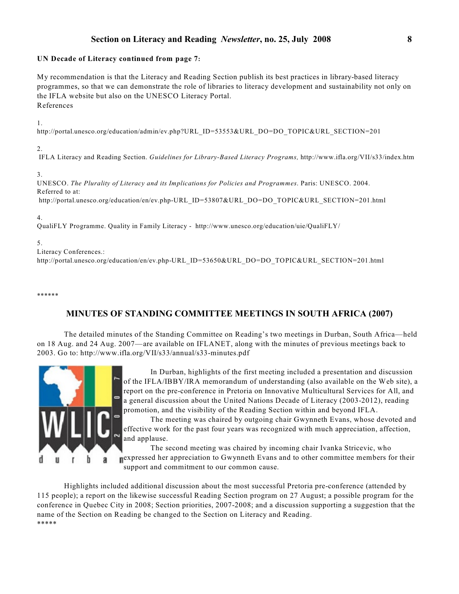# **Section on Literacy and Reading** *Newsletter***, no. 25, July 2008 8**

# **UN Decade of Literacy continued from page 7:**

My recommendation is that the Literacy and Reading Section publish its best practices in library-based literacy programmes, so that we can demonstrate the role of libraries to literacy development and sustainability not only on the IFLA website but also on the UNESCO Literacy Portal. References

1.

http://portal.unesco.org/education/admin/ev.php?URL\_ID=53553&URL\_DO=DO\_TOPIC&URL\_SECTION=201

2.

IFLA Literacy and Reading Section. *Guidelines for Library-Based Literacy Programs,* http://www.ifla.org/VII/s33/index.htm

3.

UNESCO. *The Plurality of Literacy and its Implications for Policies and Programmes*. Paris: UNESCO. 2004. Referred to at: http://portal.unesco.org/education/en/ev.php-URL\_ID=53807&URL\_DO=DO\_TOPIC&URL\_SECTION=201.html

4.

QualiFLY Programme. Quality in Family Literacy - http://www.unesco.org/education/uie/QualiFLY/

5.

Literacy Conferences.: http://portal.unesco.org/education/en/ev.php-URL\_ID=53650&URL\_DO=DO\_TOPIC&URL\_SECTION=201.html

\*\*\*\*\*\*

# **MINUTES OF STANDING COMMITTEE MEETINGS IN SOUTH AFRICA (2007)**

The detailed minutes of the Standing Committee on Reading's two meetings in Durban, South Africa—held on 18 Aug. and 24 Aug. 2007—are available on IFLANET, along with the minutes of previous meetings back to 2003. Go to: http://www.ifla.org/VII/s33/annual/s33-minutes.pdf



In Durban, highlights of the first meeting included a presentation and discussion of the IFLA/IBBY/IRA memorandum of understanding (also available on the Web site), a report on the pre-conference in Pretoria on Innovative Multicultural Services for All, and a general discussion about the United Nations Decade of Literacy (2003-2012), reading promotion, and the visibility of the Reading Section within and beyond IFLA.

The meeting was chaired by outgoing chair Gwynneth Evans, whose devoted and effective work for the past four years was recognized with much appreciation, affection, and applause.

The second meeting was chaired by incoming chair Ivanka Stricevic, who expressed her appreciation to Gwynneth Evans and to other committee members for their support and commitment to our common cause.

Highlights included additional discussion about the most successful Pretoria pre-conference (attended by 115 people); a report on the likewise successful Reading Section program on 27 August; a possible program for the conference in Quebec City in 2008; Section priorities, 2007-2008; and a discussion supporting a suggestion that the name of the Section on Reading be changed to the Section on Literacy and Reading. \*\*\*\*\*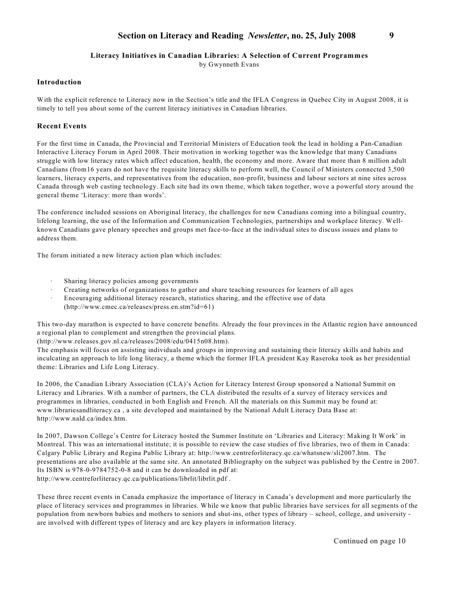# **Section on Literacy and Reading** *Newsletter***, no. 25, July 2008 9**

## **Literacy Initiatives in Canadian Libraries: A Selection of Current Programmes**

by Gwynneth Evans

# **Introduction**

With the explicit reference to Literacy now in the Section's title and the IFLA Congress in Quebec City in August 2008, it is timely to tell you about some of the current literacy initiatives in Canadian libraries.

## **Recent Events**

For the first time in Canada, the Provincial and Territorial Ministers of Education took the lead in holding a Pan-Canadian Interactive Literacy Forum in April 2008. Their motivation in working together was the knowledge that many Canadians struggle with low literacy rates which affect education, health, the economy and more. Aware that more than 8 million adult Canadians (from16 years do not have the requisite literacy skills to perform well, the Council of Ministers connected 3,500 learners, literacy experts, and representatives from the education, non-profit, business and labour sectors at nine sites across Canada through web casting technology. Each site had its own theme, which taken together, wove a powerful story around the general theme 'Literacy: more than words'.

The conference included sessions on Aboriginal literacy, the challenges for new Canadians coming into a bilingual country, lifelong learning, the use of the Information and Communication Technologies, partnerships and workplace literacy. Wellknown Canadians gave plenary speeches and groups met face-to-face at the individual sites to discuss issues and plans to address them.

The forum initiated a new literacy action plan which includes:

- Sharing literacy policies among governments
- · Creating networks of organizations to gather and share teaching resources for learners of all ages
- Encouraging additional literacy research, statistics sharing, and the effective use of data (http://www.cmec.ca/releases/press.en.stm?id=61)

This two-day marathon is expected to have concrete benefits. Already the four provinces in the Atlantic region have announced a regional plan to complement and strengthen the provincial plans.

(http://www.releases.gov.nl.ca/releases/2008/edu/0415n08.htm).

The emphasis will focus on assisting individuals and groups in improving and sustaining their literacy skills and habits and inculcating an approach to life long literacy, a theme which the former IFLA president Kay Raseroka took as her presidential theme: Libraries and Life Long Literacy.

In 2006, the Canadian Library Association (CLA)'s Action for Literacy Interest Group sponsored a National Summit on Literacy and Libraries. With a number of partners, the CLA distributed the results of a survey of literacy services and programmes in libraries, conducted in both English and French. All the materials on this Summit may be found at: www.librariesandliteracy.ca , a site developed and maintained by the National Adult Literacy Data Base at: http://www.nald.ca/index.htm.

In 2007, Dawson College's Centre for Literacy hosted the Summer Institute on 'Libraries and Literacy: Making It Work' in Montreal. This was an international institute; it is possible to review the case studies of five libraries, two of them in Canada: Calgary Public Library and Regina Public Library at: http://www.centreforliteracy.qc.ca/whatsnew/sli2007.htm. The presentations are also available at the same site. An annotated Bibliography on the subject was published by the Centre in 2007. Its ISBN is 978-0-9784752-0-8 and it can be downloaded in pdf at: http://www.centreforliteracy.qc.ca/publications/librlit/librlit.pdf .

These three recent events in Canada emphasize the importance of literacy in Canada's development and more particularly the place of literacy services and programmes in libraries. While we know that public libraries have services for all segments of the population from newborn babies and mothers to seniors and shut-ins, other types of library – school, college, and university are involved with different types of literacy and are key players in information literacy.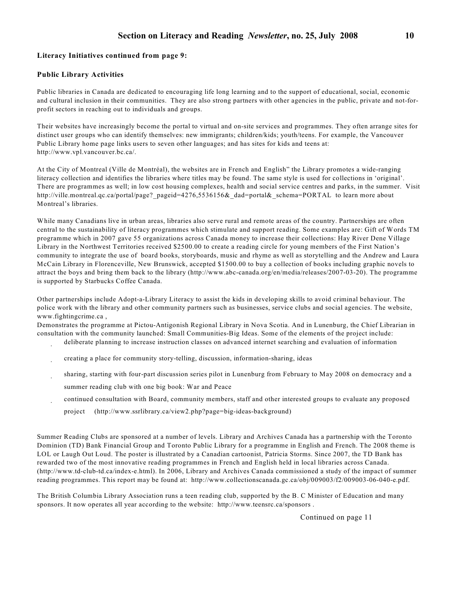# **Literacy Initiatives continued from page 9:**

#### **Public Library Activities**

Public libraries in Canada are dedicated to encouraging life long learning and to the support of educational, social, economic and cultural inclusion in their communities. They are also strong partners with other agencies in the public, private and not-forprofit sectors in reaching out to individuals and groups.

Their websites have increasingly become the portal to virtual and on-site services and programmes. They often arrange sites for distinct user groups who can identify themselves: new immigrants; children/kids; youth/teens. For example, the Vancouver Public Library home page links users to seven other languages; and has sites for kids and teens at: http://www.vpl.vancouver.bc.ca/.

At the City of Montreal (Ville de Montréal), the websites are in French and English" the Library promotes a wide-ranging literacy collection and identifies the libraries where titles may be found. The same style is used for collections in 'original'. There are programmes as well; in low cost housing complexes, health and social service centres and parks, in the summer. Visit http://ville.montreal.qc.ca/portal/page? pageid=4276,5536156& dad=portal& schema=PORTAL to learn more about Montreal's libraries.

While many Canadians live in urban areas, libraries also serve rural and remote areas of the country. Partnerships are often central to the sustainability of literacy programmes which stimulate and support reading. Some examples are: Gift of Words TM programme which in 2007 gave 55 organizations across Canada money to increase their collections: Hay River Dene Village Library in the Northwest Territories received \$2500.00 to create a reading circle for young members of the First Nation's community to integrate the use of board books, storyboards, music and rhyme as well as storytelling and the Andrew and Laura McCain Library in Florenceville, New Brunswick, accepted \$1500.00 to buy a collection of books including graphic novels to attract the boys and bring them back to the library (http://www.abc-canada.org/en/media/releases/2007-03-20). The programme is supported by Starbucks Coffee Canada.

Other partnerships include Adopt-a-Library Literacy to assist the kids in developing skills to avoid criminal behaviour. The police work with the library and other community partners such as businesses, service clubs and social agencies. The website, www.fightingcrime.ca ,

Demonstrates the programme at Pictou-Antigonish Regional Library in Nova Scotia. And in Lunenburg, the Chief Librarian in consultation with the community launched: Small Communities-Big Ideas. Some of the elements of the project include:

- · deliberate planning to increase instruction classes on advanced internet searching and evaluation of information
- · creating a place for community story-telling, discussion, information-sharing, ideas
- · sharing, starting with four-part discussion series pilot in Lunenburg from February to May 2008 on democracy and a summer reading club with one big book: War and Peace
- · continued consultation with Board, community members, staff and other interested groups to evaluate any proposed project (http://www.ssrlibrary.ca/view2.php?page=big-ideas-background)

Summer Reading Clubs are sponsored at a number of levels. Library and Archives Canada has a partnership with the Toronto Dominion (TD) Bank Financial Group and Toronto Public Library for a programme in English and French. The 2008 theme is LOL or Laugh Out Loud. The poster is illustrated by a Canadian cartoonist, Patricia Storms. Since 2007, the TD Bank has rewarded two of the most innovative reading programmes in French and English held in local libraries across Canada. (http://www.td-club-td.ca/index-e.html). In 2006, Library and Archives Canada commissioned a study of the impact of summer reading programmes. This report may be found at: http://www.collectionscanada.gc.ca/obj/009003/f2/009003-06-040-e.pdf.

The British Columbia Library Association runs a teen reading club, supported by the B. C Minister of Education and many sponsors. It now operates all year according to the website: http://www.teensrc.ca/sponsors .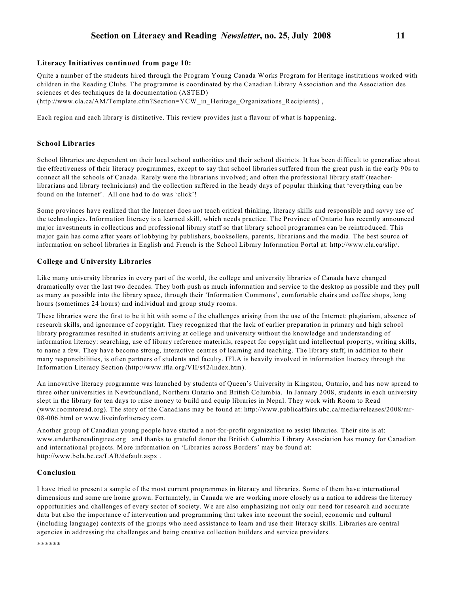# **Section on Literacy and Reading** *Newsletter***, no. 25, July 2008 11**

#### **Literacy Initiatives continued from page 10:**

Quite a number of the students hired through the Program Young Canada Works Program for Heritage institutions worked with children in the Reading Clubs. The programme is coordinated by the Canadian Library Association and the Association des sciences et des techniques de la documentation (ASTED) (http://www.cla.ca/AM/Template.cfm?Section=YCW\_in\_Heritage\_Organizations\_Recipients) ,

Each region and each library is distinctive. This review provides just a flavour of what is happening.

## **School Libraries**

School libraries are dependent on their local school authorities and their school districts. It has been difficult to generalize about the effectiveness of their literacy programmes, except to say that school libraries suffered from the great push in the early 90s to connect all the schools of Canada. Rarely were the librarians involved; and often the professional library staff (teacherlibrarians and library technicians) and the collection suffered in the heady days of popular thinking that 'everything can be found on the Internet'. All one had to do was 'click'!

Some provinces have realized that the Internet does not teach critical thinking, literacy skills and responsible and savvy use of the technologies. Information literacy is a learned skill, which needs practice. The Province of Ontario has recently announced major investments in collections and professional library staff so that library school programmes can be reintroduced. This major gain has come after years of lobbying by publishers, booksellers, parents, librarians and the media. The best source of information on school libraries in English and French is the School Library Information Portal at: http://www.cla.ca/slip/.

## **College and University Libraries**

Like many university libraries in every part of the world, the college and university libraries of Canada have changed dramatically over the last two decades. They both push as much information and service to the desktop as possible and they pull as many as possible into the library space, through their 'Information Commons', comfortable chairs and coffee shops, long hours (sometimes 24 hours) and individual and group study rooms.

These libraries were the first to be it hit with some of the challenges arising from the use of the Internet: plagiarism, absence of research skills, and ignorance of copyright. They recognized that the lack of earlier preparation in primary and high school library programmes resulted in students arriving at college and university without the knowledge and understanding of information literacy: searching, use of library reference materials, respect for copyright and intellectual property, writing skills, to name a few. They have become strong, interactive centres of learning and teaching. The library staff, in addition to their many responsibilities, is often partners of students and faculty. IFLA is heavily involved in information literacy through the Information Literacy Section (http://www.ifla.org/VII/s42/index.htm).

An innovative literacy programme was launched by students of Queen's University in Kingston, Ontario, and has now spread to three other universities in Newfoundland, Northern Ontario and British Columbia. In January 2008, students in each university slept in the library for ten days to raise money to build and equip libraries in Nepal. They work with Room to Read (www.roomtoread.org). The story of the Canadians may be found at: http://www.publicaffairs.ubc.ca/media/releases/2008/mr-08-006.html or www.liveinforliteracy.com.

Another group of Canadian young people have started a not-for-profit organization to assist libraries. Their site is at: www.underthereadingtree.org and thanks to grateful donor the British Columbia Library Association has money for Canadian and international projects. More information on 'Libraries across Borders' may be found at: http://www.bcla.bc.ca/LAB/default.aspx .

#### **Conclusion**

I have tried to present a sample of the most current programmes in literacy and libraries. Some of them have international dimensions and some are home grown. Fortunately, in Canada we are working more closely as a nation to address the literacy opportunities and challenges of every sector of society. We are also emphasizing not only our need for research and accurate data but also the importance of intervention and programming that takes into account the social, economic and cultural (including language) contexts of the groups who need assistance to learn and use their literacy skills. Libraries are central agencies in addressing the challenges and being creative collection builders and service providers.

\*\*\*\*\*\*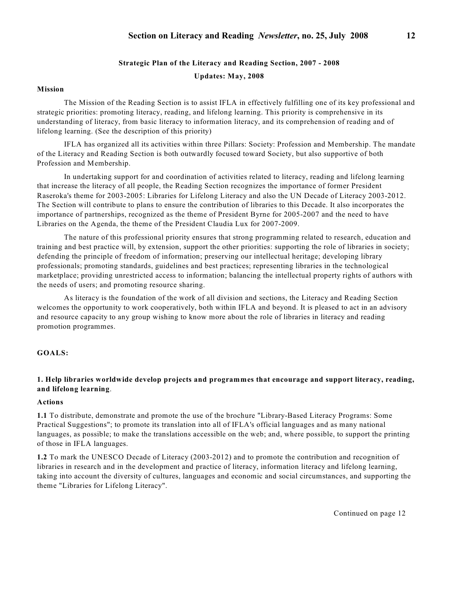# **Strategic Plan of the Literacy and Reading Section, 2007 - 2008**

**Updates: May, 2008**

# **Mission**

The Mission of the Reading Section is to assist IFLA in effectively fulfilling one of its key professional and strategic priorities: promoting literacy, reading, and lifelong learning. This priority is comprehensive in its understanding of literacy, from basic literacy to information literacy, and its comprehension of reading and of lifelong learning. (See the description of this priority)

IFLA has organized all its activities within three Pillars: Society: Profession and Membership. The mandate of the Literacy and Reading Section is both outwardly focused toward Society, but also supportive of both Profession and Membership.

In undertaking support for and coordination of activities related to literacy, reading and lifelong learning that increase the literacy of all people, the Reading Section recognizes the importance of former President Raseroka's theme for 2003-2005: Libraries for Lifelong Literacy and also the UN Decade of Literacy 2003-2012. The Section will contribute to plans to ensure the contribution of libraries to this Decade. It also incorporates the importance of partnerships, recognized as the theme of President Byrne for 2005-2007 and the need to have Libraries on the Agenda, the theme of the President Claudia Lux for 2007-2009.

The nature of this professional priority ensures that strong programming related to research, education and training and best practice will, by extension, support the other priorities: supporting the role of libraries in society; defending the principle of freedom of information; preserving our intellectual heritage; developing library professionals; promoting standards, guidelines and best practices; representing libraries in the technological marketplace; providing unrestricted access to information; balancing the intellectual property rights of authors with the needs of users; and promoting resource sharing.

As literacy is the foundation of the work of all division and sections, the Literacy and Reading Section welcomes the opportunity to work cooperatively, both within IFLA and beyond. It is pleased to act in an advisory and resource capacity to any group wishing to know more about the role of libraries in literacy and reading promotion programmes.

# **GOALS:**

# **1. Help libraries worldwide develop projects and programmes that encourage and support literacy, reading, and lifelong learning**.

#### **Actions**

**1.1** To distribute, demonstrate and promote the use of the brochure "Library-Based Literacy Programs: Some Practical Suggestions"; to promote its translation into all of IFLA's official languages and as many national languages, as possible; to make the translations accessible on the web; and, where possible, to support the printing of those in IFLA languages.

**1.2** To mark the UNESCO Decade of Literacy (2003-2012) and to promote the contribution and recognition of libraries in research and in the development and practice of literacy, information literacy and lifelong learning, taking into account the diversity of cultures, languages and economic and social circumstances, and supporting the theme "Libraries for Lifelong Literacy".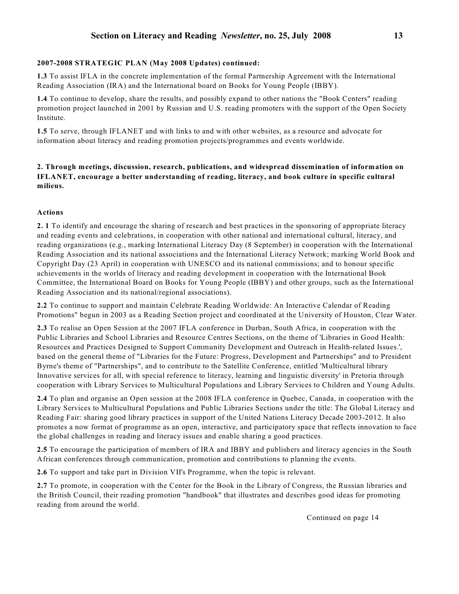# **2007-2008 STRATEGIC PLAN (May 2008 Updates) continued:**

**1.3** To assist IFLA in the concrete implementation of the formal Partnership Agreement with the International Reading Association (IRA) and the International board on Books for Young People (IBBY).

**1.4** To continue to develop, share the results, and possibly expand to other nations the "Book Centers" reading promotion project launched in 2001 by Russian and U.S. reading promoters with the support of the Open Society Institute.

**1.5** To serve, through IFLANET and with links to and with other websites, as a resource and advocate for information about literacy and reading promotion projects/programmes and events worldwide.

# **2. Through meetings, discussion, research, publications, and widespread dissemination of information on IFLANET, encourage a better understanding of reading, literacy, and book culture in specific cultural milieus.**

## **Actions**

**2. 1** To identify and encourage the sharing of research and best practices in the sponsoring of appropriate literacy and reading events and celebrations, in cooperation with other national and international cultural, literacy, and reading organizations (e.g., marking International Literacy Day (8 September) in cooperation with the International Reading Association and its national associations and the International Literacy Network; marking World Book and Copyright Day (23 April) in cooperation with UNESCO and its national commissions; and to honour specific achievements in the worlds of literacy and reading development in cooperation with the International Book Committee, the International Board on Books for Young People (IBBY) and other groups, such as the International Reading Association and its national/regional associations).

**2.2** To continue to support and maintain Celebrate Reading Worldwide: An Interactive Calendar of Reading Promotions" begun in 2003 as a Reading Section project and coordinated at the University of Houston, Clear Water.

**2.3** To realise an Open Session at the 2007 IFLA conference in Durban, South Africa, in cooperation with the Public Libraries and School Libraries and Resource Centres Sections, on the theme of 'Libraries in Good Health: Resources and Practices Designed to Support Community Development and Outreach in Health-related Issues.', based on the general theme of "Libraries for the Future: Progress, Development and Partnerships" and to President Byrne's theme of "Partnerships", and to contribute to the Satellite Conference, entitled 'Multicultural library Innovative services for all, with special reference to literacy, learning and linguistic diversity' in Pretoria through cooperation with Library Services to Multicultural Populations and Library Services to Children and Young Adults.

**2.4** To plan and organise an Open session at the 2008 IFLA conference in Quebec, Canada, in cooperation with the Library Services to Multicultural Populations and Public Libraries Sections under the title: The Global Literacy and Reading Fair: sharing good library practices in support of the United Nations Literacy Decade 2003-2012. It also promotes a now format of programme as an open, interactive, and participatory space that reflects innovation to face the global challenges in reading and literacy issues and enable sharing a good practices.

**2.5** To encourage the participation of members of IRA and IBBY and publishers and literacy agencies in the South African conferences through communication, promotion and contributions to planning the events.

**2.6** To support and take part in Division VII's Programme, when the topic is relevant.

**2.7** To promote, in cooperation with the Center for the Book in the Library of Congress, the Russian libraries and the British Council, their reading promotion "handbook" that illustrates and describes good ideas for promoting reading from around the world.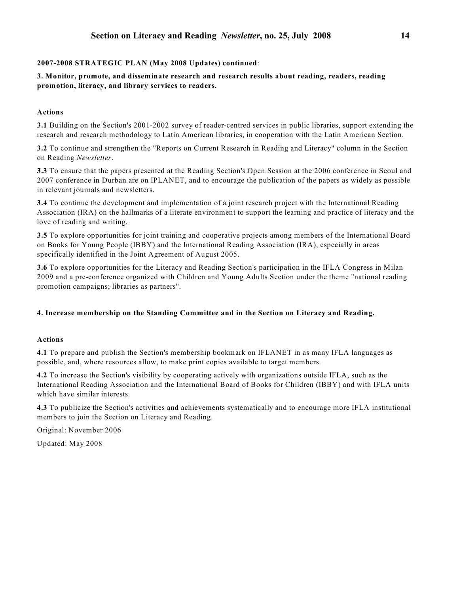# **2007-2008 STRATEGIC PLAN (May 2008 Updates) continued**:

**3. Monitor, promote, and disseminate research and research results about reading, readers, reading promotion, literacy, and library services to readers.**

# **Actions**

**3.1** Building on the Section's 2001-2002 survey of reader-centred services in public libraries, support extending the research and research methodology to Latin American libraries, in cooperation with the Latin American Section.

**3.2** To continue and strengthen the "Reports on Current Research in Reading and Literacy" column in the Section on Reading *Newsletter*.

**3.3** To ensure that the papers presented at the Reading Section's Open Session at the 2006 conference in Seoul and 2007 conference in Durban are on IPLANET, and to encourage the publication of the papers as widely as possible in relevant journals and newsletters.

**3.4** To continue the development and implementation of a joint research project with the International Reading Association (IRA) on the hallmarks of a literate environment to support the learning and practice of literacy and the love of reading and writing.

**3.5** To explore opportunities for joint training and cooperative projects among members of the International Board on Books for Young People (IBBY) and the International Reading Association (IRA), especially in areas specifically identified in the Joint Agreement of August 2005.

**3.6** To explore opportunities for the Literacy and Reading Section's participation in the IFLA Congress in Milan 2009 and a pre-conference organized with Children and Young Adults Section under the theme "national reading promotion campaigns; libraries as partners".

# **4. Increase membership on the Standing Committee and in the Section on Literacy and Reading.**

# **Actions**

**4.1** To prepare and publish the Section's membership bookmark on IFLANET in as many IFLA languages as possible, and, where resources allow, to make print copies available to target members.

**4.2** To increase the Section's visibility by cooperating actively with organizations outside IFLA, such as the International Reading Association and the International Board of Books for Children (IBBY) and with IFLA units which have similar interests.

**4.3** To publicize the Section's activities and achievements systematically and to encourage more IFLA institutional members to join the Section on Literacy and Reading.

Original: November 2006

Updated: May 2008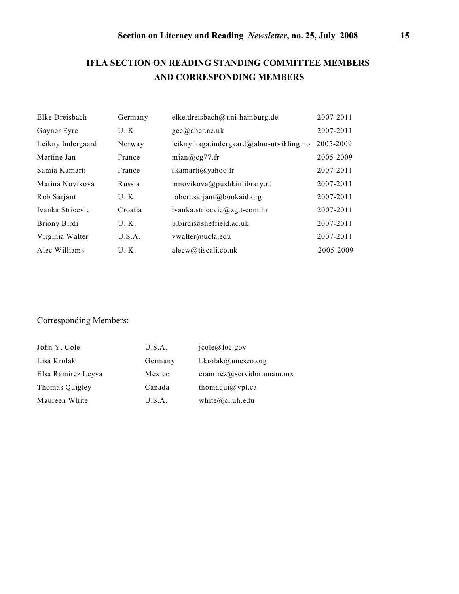# **IFLA SECTION ON READING STANDING COMMITTEE MEMBERS AND CORRESPONDING MEMBERS**

| Elke Dreisbach    | Germany | elke.dreisbach@uni-hamburg.de               | 2007-2011 |
|-------------------|---------|---------------------------------------------|-----------|
| Gayner Eyre       | U.K.    | $\text{gee}(\widehat{a})$ aber.ac.uk        | 2007-2011 |
| Leikny Indergaard | Norway  | leikny.haga.indergaard $@$ abm-utvikling.no | 2005-2009 |
| Martine Jan       | France  | mjan@cg77.fr                                | 2005-2009 |
| Samia Kamarti     | France  | skamarti@yahoo.fr                           | 2007-2011 |
| Marina Novikova   | Russia  | mnovikova@pushkinlibrary.ru                 | 2007-2011 |
| Rob Sarjant       | U.K.    | robert.sarjant@bookaid.org                  | 2007-2011 |
| Ivanka Stricevic  | Croatia | ivanka.stricevic@zg.t-com.hr                | 2007-2011 |
| Briony Birdi      | U.K.    | b.birdi@sheffield.ac.uk                     | 2007-2011 |
| Virginia Walter   | U.S.A.  | vwalter@ucla.edu                            | 2007-2011 |
| Alec Williams     | U.K.    | alecw@tiscali.co.uk                         | 2005-2009 |

# Corresponding Members:

| John Y. Cole       | U.S.A.  | $i$ cole@loc.gov          |
|--------------------|---------|---------------------------|
| Lisa Krolak        | Germany | $1$ .krolak@unesco.org    |
| Elsa Ramirez Leyva | Mexico  | eramirez@servidor.unam.mx |
| Thomas Quigley     | Canada  | thomaqui $@$ vpl.ca       |
| Maureen White      | U.S.A.  | white $@$ cl.uh.edu       |